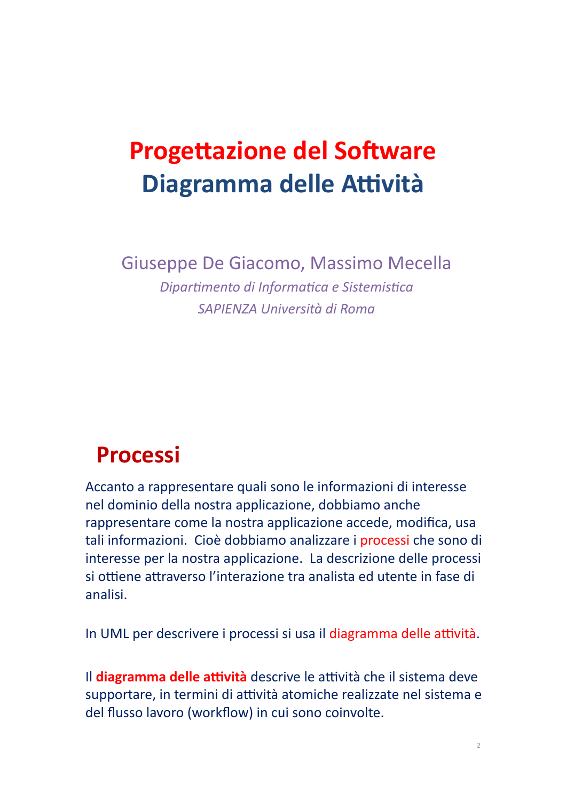# **Progettazione del Software** Diagramma delle Attività

Giuseppe De Giacomo, Massimo Mecella

Dipartimento di Informatica e Sistemistica SAPIENZA Università di Roma

#### **Processi**

Accanto a rappresentare quali sono le informazioni di interesse nel dominio della nostra applicazione, dobbiamo anche rappresentare come la nostra applicazione accede, modifica, usa tali informazioni. Cioè dobbiamo analizzare i processi che sono di interesse per la nostra applicazione. La descrizione delle processi si ottiene attraverso l'interazione tra analista ed utente in fase di analisi.

In UML per descrivere i processi si usa il diagramma delle attività.

Il diagramma delle attività descrive le attività che il sistema deve supportare, in termini di attività atomiche realizzate nel sistema e del flusso lavoro (workflow) in cui sono coinvolte.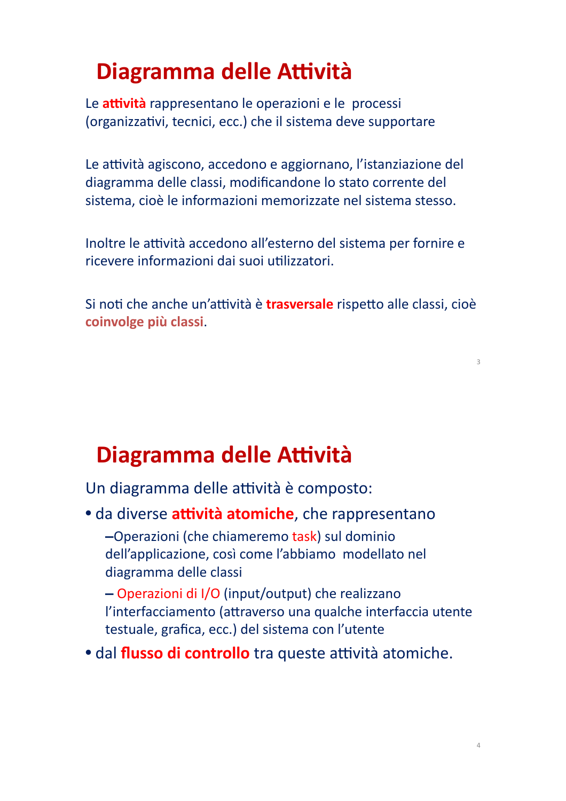#### Diagramma delle Attività

Le attività rappresentano le operazioni e le processi (organizzativi, tecnici, ecc.) che il sistema deve supportare

Le attività agiscono, accedono e aggiornano, l'istanziazione del diagramma delle classi, modificandone lo stato corrente del sistema, cioè le informazioni memorizzate nel sistema stesso.

Inoltre le attività accedono all'esterno del sistema per fornire e ricevere informazioni dai suoi utilizzatori.

Si noti che anche un'attività è **trasversale** rispetto alle classi, cioè coinvolge più classi.

#### Diagramma delle Attività

Un diagramma delle attività è composto:

· da diverse attività atomiche, che rappresentano -Operazioni (che chiameremo task) sul dominio dell'applicazione, così come l'abbiamo modellato nel diagramma delle classi

- Operazioni di I/O (input/output) che realizzano l'interfacciamento (attraverso una qualche interfaccia utente testuale, grafica, ecc.) del sistema con l'utente

· dal flusso di controllo tra queste attività atomiche.

 $\overline{3}$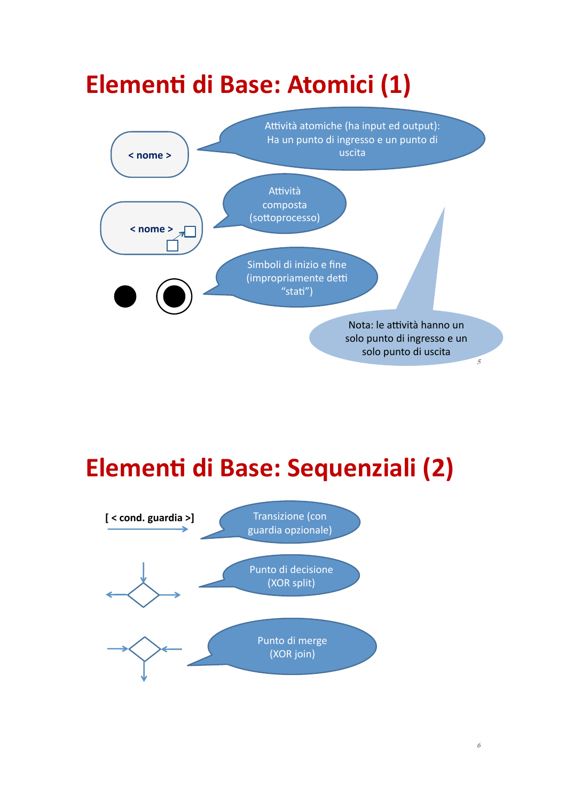

### Elementi di Base: Sequenziali (2)

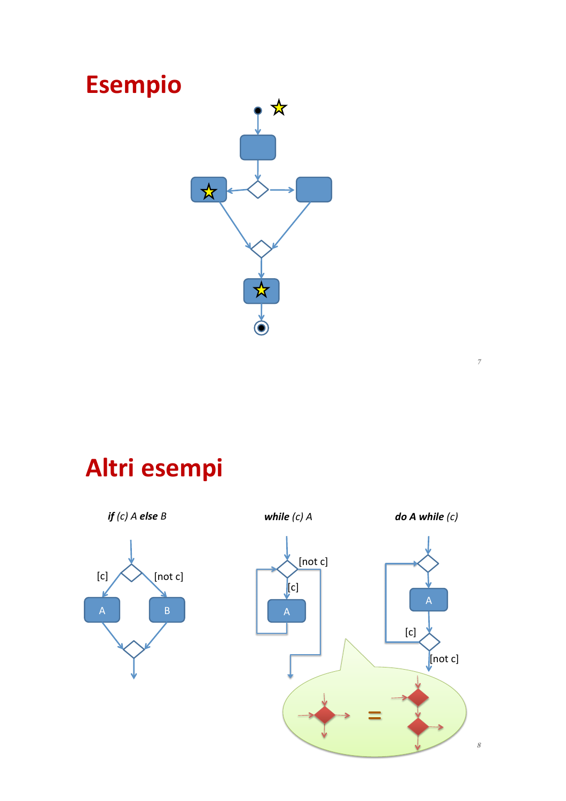

# Altri esempi

 $doA while (c)$ if  $(c)$  A else B while  $(c)$  A  $[not c]$  $[not c]$  $[{\mathsf c}]$  $|c|$  $\overline{B}$  $\overline{A}$  $[{\mathsf c}]$  $\left[\text{not c}\right]$ 

 $\bar{7}$ 

 $\boldsymbol{s}$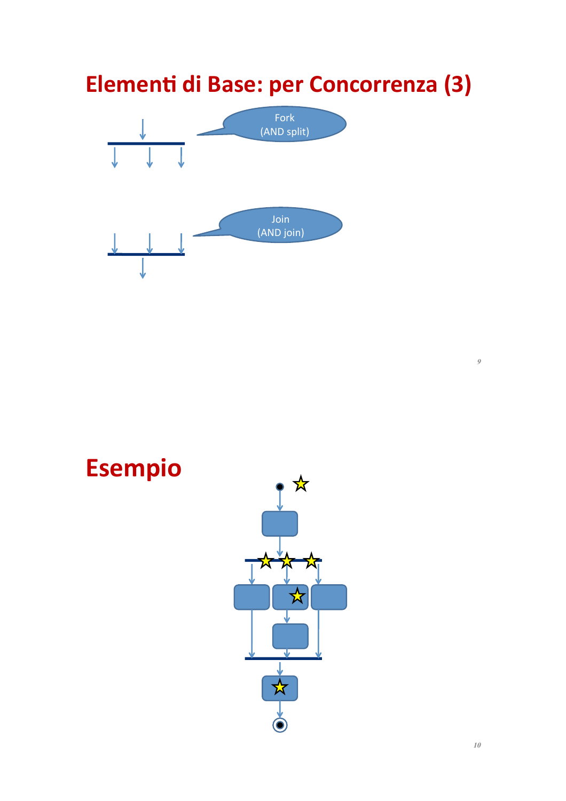#### Elementi di Base: per Concorrenza (3)



 $\mathcal{G}$ 

# **Esempio**

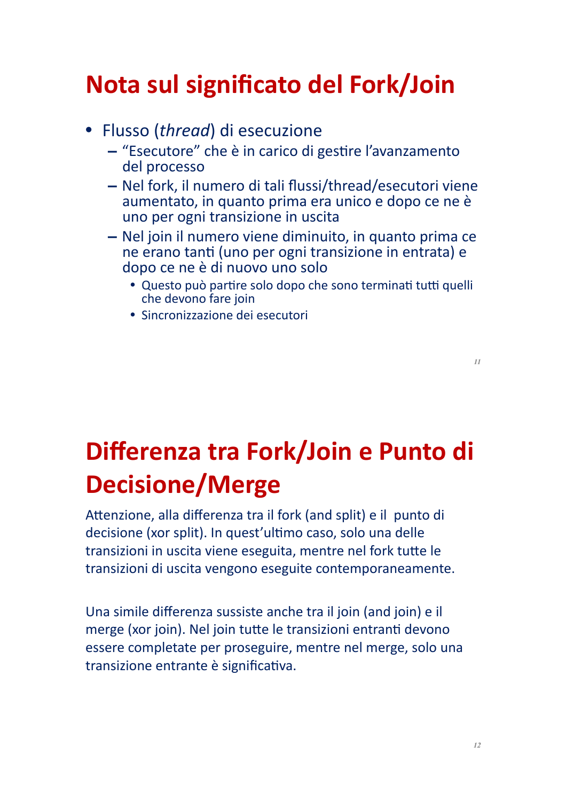## Nota sul significato del Fork/Join

- Flusso (thread) di esecuzione
	- "Esecutore" che è in carico di gestire l'avanzamento del processo
	- Nel fork, il numero di tali flussi/thread/esecutori viene aumentato, in quanto prima era unico e dopo ce ne è uno per ogni transizione in uscita
	- Nel join il numero viene diminuito, in quanto prima ce ne erano tanti (uno per ogni transizione in entrata) e dopo ce ne è di nuovo uno solo
		- · Questo può partire solo dopo che sono terminati tutti quelli che devono fare join
		- · Sincronizzazione dei esecutori

# Differenza tra Fork/Join e Punto di **Decisione/Merge**

Attenzione, alla differenza tra il fork (and split) e il punto di decisione (xor split). In quest'ultimo caso, solo una delle transizioni in uscita viene eseguita, mentre nel fork tutte le transizioni di uscita vengono eseguite contemporaneamente.

Una simile differenza sussiste anche tra il join (and join) e il merge (xor join). Nel join tutte le transizioni entranti devono essere completate per proseguire, mentre nel merge, solo una transizione entrante è significativa.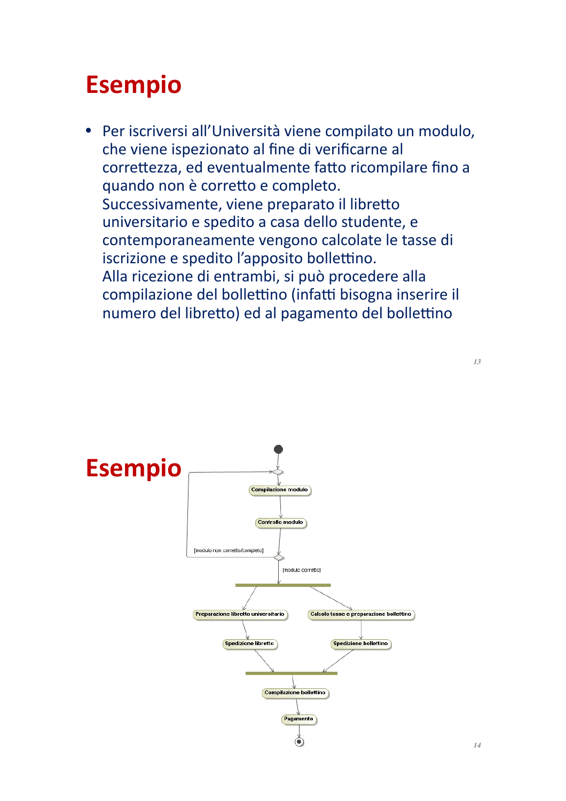#### **Esempio**

· Per iscriversi all'Università viene compilato un modulo, che viene ispezionato al fine di verificarne al correttezza, ed eventualmente fatto ricompilare fino a quando non è corretto e completo. Successivamente, viene preparato il libretto universitario e spedito a casa dello studente, e contemporaneamente vengono calcolate le tasse di iscrizione e spedito l'apposito bollettino. Alla ricezione di entrambi, si può procedere alla compilazione del bollettino (infatti bisogna inserire il numero del libretto) ed al pagamento del bollettino



 $13$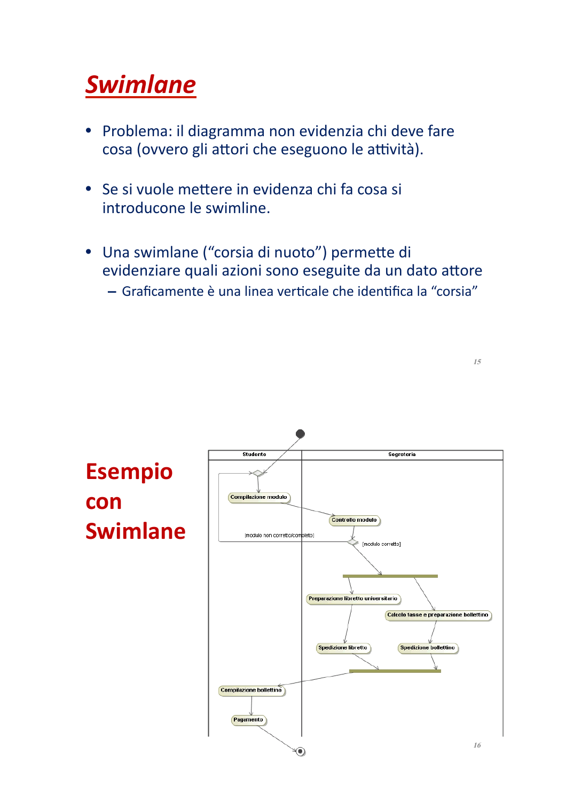# **Swimlane**

- Problema: il diagramma non evidenzia chi deve fare  $\bullet$ cosa (ovvero gli attori che eseguono le attività).
- Se si vuole mettere in evidenza chi fa cosa si introducone le swimline.
- · Una swimlane ("corsia di nuoto") permette di evidenziare quali azioni sono eseguite da un dato attore - Graficamente è una linea verticale che identifica la "corsia"

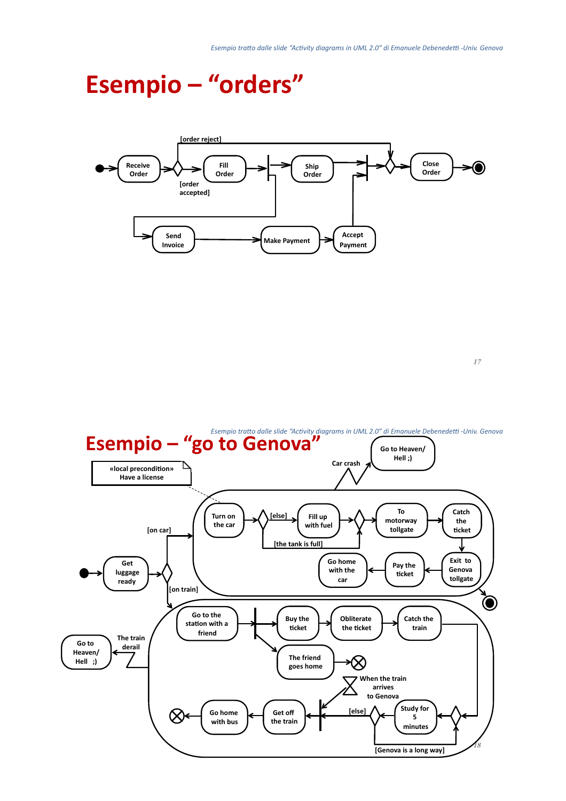#### **Esempio - "orders"**



 $17$ 

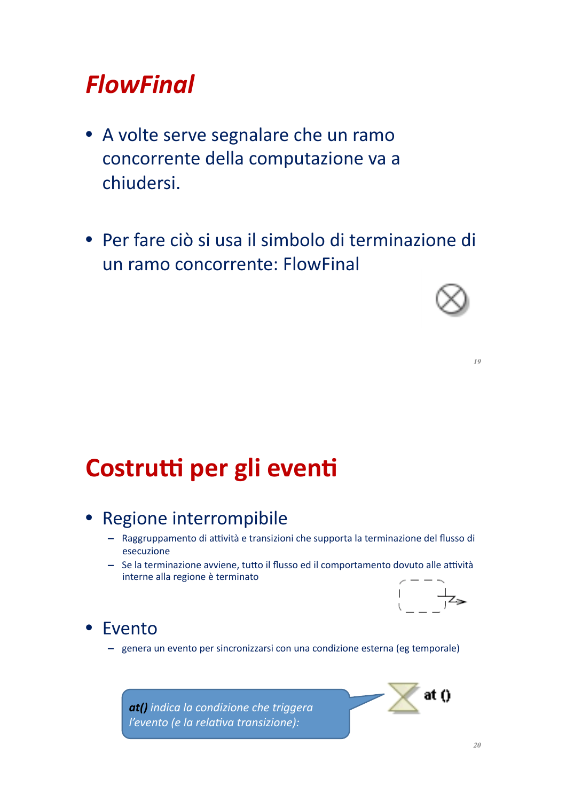#### **FlowFinal**

- A volte serve segnalare che un ramo concorrente della computazione va a chiudersi.
- · Per fare ciò si usa il simbolo di terminazione di un ramo concorrente: FlowFinal



 $10$ 

#### Costrutti per gli eventi

#### • Regione interrompibile

- Raggruppamento di attività e transizioni che supporta la terminazione del flusso di esecuzione
- Se la terminazione avviene, tutto il flusso ed il comportamento dovuto alle attività interne alla regione è terminato



#### • Evento

- genera un evento per sincronizzarsi con una condizione esterna (eg temporale)

at() indica la condizione che triggera l'evento (e la relativa transizione):

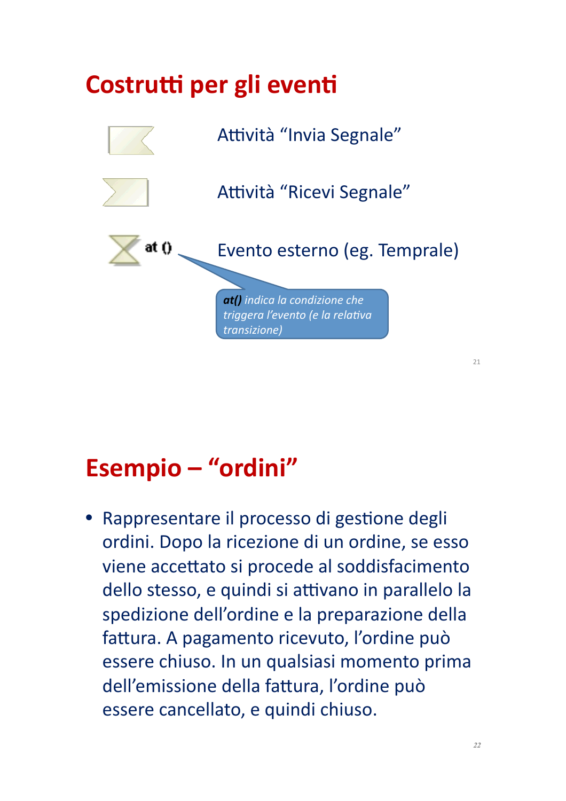# Costrutti per gli eventi Attività "Invia Segnale" Attività "Ricevi Segnale" Evento esterno (eg. Temprale) at () at() indica la condizione che triggera l'evento (e la relativa transizione)

# Esempio - "ordini"

· Rappresentare il processo di gestione degli ordini. Dopo la ricezione di un ordine, se esso viene accettato si procede al soddisfacimento dello stesso, e quindi si attivano in parallelo la spedizione dell'ordine e la preparazione della fattura. A pagamento ricevuto, l'ordine può essere chiuso. In un qualsiasi momento prima dell'emissione della fattura, l'ordine può essere cancellato, e quindi chiuso.

 $21$